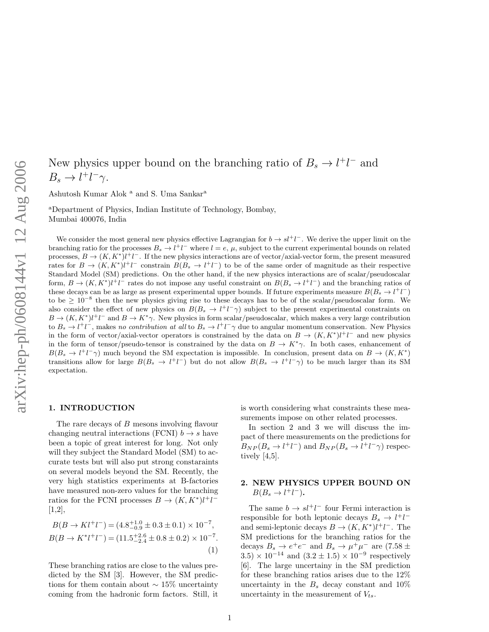# New physics upper bound on the branching ratio of  $B_s \to l^+l^-$  and  $B_s \to l^+l^-\gamma.$

Ashutosh Kumar Alok <sup>a</sup> and S. Uma Sankar<sup>a</sup>

<sup>a</sup>Department of Physics, Indian Institute of Technology, Bombay, Mumbai 400076, India

We consider the most general new physics effective Lagrangian for  $b \to s l^+l^-$ . We derive the upper limit on the branching ratio for the processes  $B_s \to l^+l^-$  where  $l = e, \mu$ , subject to the current experimental bounds on related processes,  $B \to (K, K^*)l^+l^-$ . If the new physics interactions are of vector/axial-vector form, the present measured rates for  $B \to (K, K^*)\ell^+\ell^-$  constrain  $B(B_s \to \ell^+\ell^-)$  to be of the same order of magnitude as their respective Standard Model (SM) predictions. On the other hand, if the new physics interactions are of scalar/pseudoscalar form,  $B \to (K, K^*)l^+l^-$  rates do not impose any useful constraint on  $B(B_s \to l^+l^-)$  and the branching ratios of these decays can be as large as present experimental upper bounds. If future experiments measure  $B(B_s \to l^+l^-)$ to be  $\geq 10^{-8}$  then the new physics giving rise to these decays has to be of the scalar/pseudoscalar form. We also consider the effect of new physics on  $B(B_s \to l^+l^-\gamma)$  subject to the present experimental constraints on  $B \to (K, K^*) l^+ l^-$  and  $B \to K^* \gamma$ . New physics in form scalar/pseudoscalar, which makes a very large contribution to  $B_s \to l^+l^-$ , makes no contribution at all to  $B_s \to l^+l^- \gamma$  due to angular momentum conservation. New Physics in the form of vector/axial-vector operators is constrained by the data on  $B \to (K, K^*) l^+ l^-$  and new physics in the form of tensor/pseudo-tensor is constrained by the data on  $B \to K^*\gamma$ . In both cases, enhancement of  $B(B_s \to l^+l^-\gamma)$  much beyond the SM expectation is impossible. In conclusion, present data on  $B \to (K, K^*)$ transitions allow for large  $B(B_s \to l^+l^-)$  but do not allow  $B(B_s \to l^+l^- \gamma)$  to be much larger than its SM expectation.

### 1. INTRODUCTION

The rare decays of B mesons involving flavour changing neutral interactions (FCNI)  $b \rightarrow s$  have been a topic of great interest for long. Not only will they subject the Standard Model (SM) to accurate tests but will also put strong constaraints on several models beyond the SM. Recently, the very high statistics experiments at B-factories have measured non-zero values for the branching ratios for the FCNI processes  $B \to (K, K^*)l^+l^ [1,2],$ 

$$
B(B \to K l^+ l^-) = (4.8^{+1.0}_{-0.9} \pm 0.3 \pm 0.1) \times 10^{-7},
$$
  
\n
$$
B(B \to K^* l^+ l^-) = (11.5^{+2.6}_{-2.4} \pm 0.8 \pm 0.2) \times 10^{-7}.
$$
  
\n(1)

These branching ratios are close to the values predicted by the SM [3]. However, the SM predictions for them contain about  $\sim 15\%$  uncertainty coming from the hadronic form factors. Still, it is worth considering what constraints these measurements impose on other related processes.

In section 2 and 3 we will discuss the impact of there measurements on the predictions for  $B_{NP}(B_s \to l^+l^-)$  and  $B_{NP}(B_s \to l^+l^-\gamma)$  respectively [4,5].

## 2. NEW PHYSICS UPPER BOUND ON  $B(B_s \to l^+l^-)$ .

The same  $b \to s l^+ l^-$  four Fermi interaction is responsible for both leptonic decays  $B_s \to l^+l^$ and semi-leptonic decays  $B \to (K, K^*) l^+ l^-$ . The SM predictions for the branching ratios for the decays  $B_s \to e^+e^-$  and  $B_s \to \mu^+\mu^-$  are (7.58 ±  $3.5 \times 10^{-14}$  and  $(3.2 \pm 1.5) \times 10^{-9}$  respectively [6]. The large uncertainy in the SM prediction for these branching ratios arises due to the 12% uncertainty in the  $B_s$  decay constant and  $10\%$ uncertainty in the measurement of  $V_{ts}$ .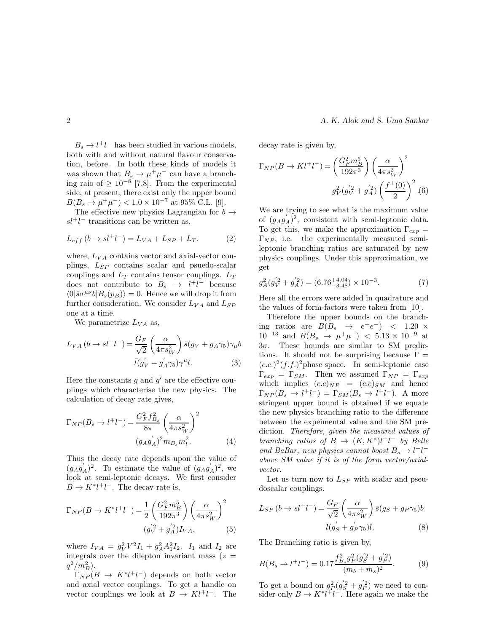$B_s \to l^+l^-$  has been studied in various models, both with and without natural flavour conservation, before. In both these kinds of models it was shown that  $B_s \to \mu^+ \mu^-$  can have a branching raio of  $\geq 10^{-8}$  [7,8]. From the experimental side, at present, there exist only the upper bound  $B(B_s \to \mu^+ \mu^-) < 1.0 \times 10^{-7}$  at 95% C.L. [9].

The effective new physics Lagrangian for  $b \rightarrow$  $sl^+l^-$  transitions can be written as,

$$
L_{eff} (b \to s l^+ l^-) = L_{VA} + L_{SP} + L_T. \tag{2}
$$

where,  $L_{VA}$  contains vector and axial-vector couplings,  $L_{SP}$  contains scalar and psuedo-scalar couplings and  $L_T$  contains tensor couplings.  $L_T$ does not contribute to  $B_s \rightarrow l^+l^-$  because  $\langle 0|\bar{s}\sigma^{\mu\nu}b|B_s(p_B)\rangle = 0.$  Hence we will drop it from further consideration. We consider  $L_{VA}$  and  $L_{SP}$ one at a time.

We parametrize  $L_{VA}$  as,

$$
L_{VA} (b \to s l^+ l^-) = \frac{G_F}{\sqrt{2}} \left( \frac{\alpha}{4\pi s_W^2} \right) \bar{s} (g_V + g_A \gamma_5) \gamma_\mu b
$$

$$
\bar{l} (g_V + g_A' \gamma_5) \gamma^\mu l. \tag{3}
$$

Here the constants  $g$  and  $g'$  are the effective couplings which characterise the new physics. The calculation of decay rate gives,

$$
\Gamma_{NP}(B_s \to l^+l^-) = \frac{G_F^2 f_{B_s}^2}{8\pi} \left(\frac{\alpha}{4\pi s_W^2}\right)^2
$$

$$
(g_A g_A')^2 m_{B_s} m_l^2. \tag{4}
$$

Thus the decay rate depends upon the value of  $(g_Ag_A')^2$ . To estimate the value of  $(g_Ag_A')^2$ , we look at semi-leptonic decays. We first consider  $B \to K^* l^+ l^-$ . The decay rate is,

$$
\Gamma_{NP}(B \to K^* l^+ l^-) = \frac{1}{2} \left( \frac{G_F^2 m_B^5}{192\pi^3} \right) \left( \frac{\alpha}{4\pi s_W^2} \right)^2
$$

$$
(g_V^{'2} + g_A^{'2}) I_{VA}, \tag{5}
$$

where  $I_{VA} = g_V^2 V^2 I_1 + g_A^2 A_1^2 I_2$ .  $I_1$  and  $I_2$  are integrals over the dilepton invariant mass  $(z =$  $q^2/m_B^2$ ).

 $\Gamma_{NP}(B \rightarrow K^* l^+ l^-)$  depends on both vector and axial vector couplings. To get a handle on vector couplings we look at  $B \to Kl^+l^-$ . The

decay rate is given by,

$$
\Gamma_{NP}(B \to K l^{+} l^{-}) = \left(\frac{G_F^2 m_B^5}{192\pi^3}\right) \left(\frac{\alpha}{4\pi s_W^2}\right)^2
$$

$$
g_V^2 (g_V^{'2} + g_A^{'2}) \left(\frac{f^{+}(0)}{2}\right)^2 .(6)
$$

We are trying to see what is the maximum value of  $(g_A g'_A)^2$ , consistent with semi-leptonic data. To get this, we make the approximation  $\Gamma_{\text{exp}} =$  $\Gamma_{NP}$ , i.e. the experimentally measuted semileptonic branching ratios are saturated by new physics couplings. Under this approximation, we get

$$
g_A^2(g_V^{'2} + g_A^{'2}) = (6.76^{+4.04}_{-3.48}) \times 10^{-3}.
$$
 (7)

Here all the errors were added in quadrature and the values of form-factors were taken from [10].

Therefore the upper bounds on the branching ratios are  $B(B_s \rightarrow e^+e^-)$  < 1.20 ×  $10^{-13}$  and  $B(B_s \rightarrow \mu^+ \mu^-)$  < 5.13 × 10<sup>-9</sup> at  $3\sigma$ . These bounds are similar to SM predictions. It should not be surprising because  $\Gamma =$  $(c.c.)^2(f.f.)^2$ phase space. In semi-leptonic case  $\Gamma_{exp} = \Gamma_{SM}$ . Then we assumed  $\Gamma_{NP} = \Gamma_{exp}$ which implies  $(c.c)_{NP} = (c.c)_{SM}$  and hence  $\Gamma_{NP}(B_s \to l^+l^-) = \Gamma_{SM}(B_s \to l^+l^-).$  A more stringent upper bound is obtained if we equate the new physics branching ratio to the difference between the expeimental value and the SM prediction. Therefore, given the measured values of branching ratios of  $B \to (K, K^*)l^+l^-$  by Belle and BaBar, new physics cannot boost  $B_s \rightarrow l^+l^$ above SM value if it is of the form vector/axialvector.

Let us turn now to  $L_{SP}$  with scalar and pseudoscalar couplings.

$$
L_{SP} (b \to sl^+ l^-) = \frac{G_F}{\sqrt{2}} \left( \frac{\alpha}{4\pi s_W^2} \right) \bar{s} (g_S + g_P \gamma_5) b
$$

$$
\bar{l} (g_S' + g_P' \gamma_5) l. \tag{8}
$$

The Branching ratio is given by,

$$
B(B_s \to l^+l^-) = 0.17 \frac{f_{B_s}^2 g_P^2 (g_S^{'2} + g_P^{'2})}{(m_b + m_s)^2}.
$$
 (9)

To get a bound on  $g_P^2(g_S^{'2} + g_P^{'2})$  we need to consider only  $B \to K^* l^+ l^-$ . Here again we make the